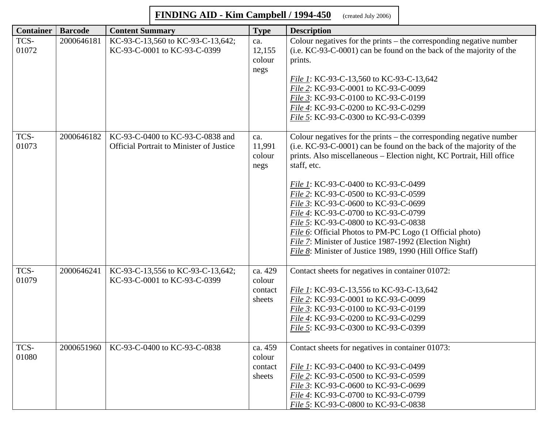## **FINDING AID - Kim Campbell / 1994-450** (created July 2006)

| <b>Container</b> | <b>Barcode</b> | <b>Content Summary</b>                                                       | <b>Type</b>                            | <b>Description</b>                                                                                                                                                                                                                                                                                                                                                                                                                                                                                                                                                                                                                    |
|------------------|----------------|------------------------------------------------------------------------------|----------------------------------------|---------------------------------------------------------------------------------------------------------------------------------------------------------------------------------------------------------------------------------------------------------------------------------------------------------------------------------------------------------------------------------------------------------------------------------------------------------------------------------------------------------------------------------------------------------------------------------------------------------------------------------------|
| TCS-<br>01072    | 2000646181     | KC-93-C-13,560 to KC-93-C-13,642;<br>KC-93-C-0001 to KC-93-C-0399            | ca.<br>12,155<br>colour<br>negs        | Colour negatives for the prints $-$ the corresponding negative number<br>(i.e. KC-93-C-0001) can be found on the back of the majority of the<br>prints.<br>File 1: KC-93-C-13,560 to KC-93-C-13,642<br>File 2: KC-93-C-0001 to KC-93-C-0099<br>File 3: KC-93-C-0100 to KC-93-C-0199<br>File 4: KC-93-C-0200 to KC-93-C-0299<br>File 5: KC-93-C-0300 to KC-93-C-0399                                                                                                                                                                                                                                                                   |
| TCS-<br>01073    | 2000646182     | KC-93-C-0400 to KC-93-C-0838 and<br>Official Portrait to Minister of Justice | ca.<br>11,991<br>colour<br>negs        | Colour negatives for the prints – the corresponding negative number<br>(i.e. KC-93-C-0001) can be found on the back of the majority of the<br>prints. Also miscellaneous - Election night, KC Portrait, Hill office<br>staff, etc.<br><i>File 1:</i> KC-93-C-0400 to KC-93-C-0499<br>File 2: KC-93-C-0500 to KC-93-C-0599<br>File 3: KC-93-C-0600 to KC-93-C-0699<br>File 4: KC-93-C-0700 to KC-93-C-0799<br>File 5: KC-93-C-0800 to KC-93-C-0838<br>File 6: Official Photos to PM-PC Logo (1 Official photo)<br>File 7: Minister of Justice 1987-1992 (Election Night)<br>File 8: Minister of Justice 1989, 1990 (Hill Office Staff) |
| TCS-<br>01079    | 2000646241     | KC-93-C-13,556 to KC-93-C-13,642;<br>KC-93-C-0001 to KC-93-C-0399            | ca. 429<br>colour<br>contact<br>sheets | Contact sheets for negatives in container 01072:<br>File 1: KC-93-C-13,556 to KC-93-C-13,642<br>File 2: KC-93-C-0001 to KC-93-C-0099<br>File 3: KC-93-C-0100 to KC-93-C-0199<br>File 4: KC-93-C-0200 to KC-93-C-0299<br>File 5: KC-93-C-0300 to KC-93-C-0399                                                                                                                                                                                                                                                                                                                                                                          |
| TCS-<br>01080    | 2000651960     | KC-93-C-0400 to KC-93-C-0838                                                 | ca. 459<br>colour<br>contact<br>sheets | Contact sheets for negatives in container 01073:<br>File 1: KC-93-C-0400 to KC-93-C-0499<br>File 2: KC-93-C-0500 to KC-93-C-0599<br>File 3: KC-93-C-0600 to KC-93-C-0699<br>File 4: KC-93-C-0700 to KC-93-C-0799<br>File 5: KC-93-C-0800 to KC-93-C-0838                                                                                                                                                                                                                                                                                                                                                                              |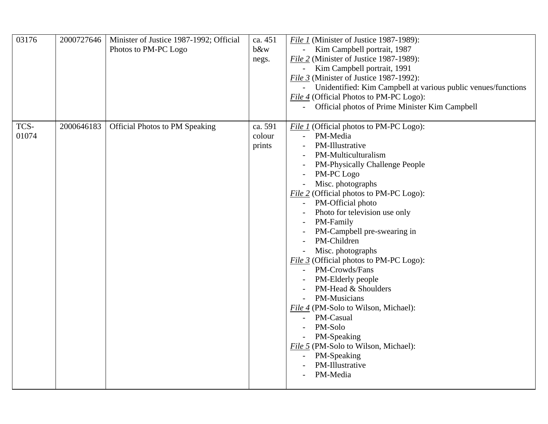| 03176         | 2000727646 | Minister of Justice 1987-1992; Official<br>Photos to PM-PC Logo | ca. 451<br>b&w<br>negs.     | File 1 (Minister of Justice 1987-1989):<br>Kim Campbell portrait, 1987<br>File 2 (Minister of Justice 1987-1989):<br>Kim Campbell portrait, 1991<br>File 3 (Minister of Justice 1987-1992):<br>Unidentified: Kim Campbell at various public venues/functions<br>File 4 (Official Photos to PM-PC Logo):<br>Official photos of Prime Minister Kim Campbell<br>$\overline{a}$                                                                                                                                                                                                                                                                                                                                              |
|---------------|------------|-----------------------------------------------------------------|-----------------------------|--------------------------------------------------------------------------------------------------------------------------------------------------------------------------------------------------------------------------------------------------------------------------------------------------------------------------------------------------------------------------------------------------------------------------------------------------------------------------------------------------------------------------------------------------------------------------------------------------------------------------------------------------------------------------------------------------------------------------|
| TCS-<br>01074 | 2000646183 | <b>Official Photos to PM Speaking</b>                           | ca. 591<br>colour<br>prints | File 1 (Official photos to PM-PC Logo):<br>PM-Media<br>$\overline{a}$<br>PM-Illustrative<br>PM-Multiculturalism<br>PM-Physically Challenge People<br>PM-PC Logo<br>Misc. photographs<br>File 2 (Official photos to PM-PC Logo):<br>PM-Official photo<br>Photo for television use only<br>PM-Family<br>PM-Campbell pre-swearing in<br>PM-Children<br>Misc. photographs<br><i>File 3</i> (Official photos to PM-PC Logo):<br>PM-Crowds/Fans<br>$\overline{\phantom{a}}$<br>PM-Elderly people<br>PM-Head & Shoulders<br>PM-Musicians<br>File 4 (PM-Solo to Wilson, Michael):<br>PM-Casual<br>$\overline{a}$<br>PM-Solo<br>PM-Speaking<br>File 5 (PM-Solo to Wilson, Michael):<br>PM-Speaking<br>PM-Illustrative<br>PM-Media |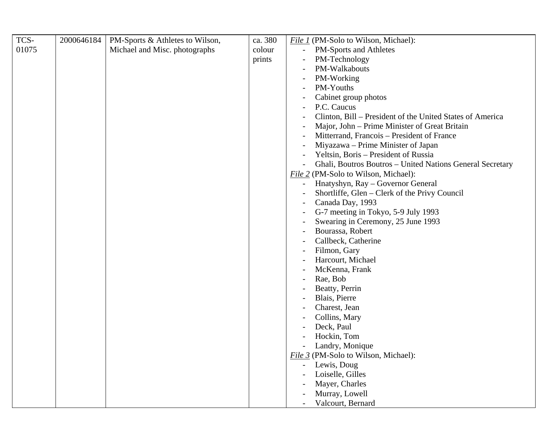| TCS-  | 2000646184 | PM-Sports & Athletes to Wilson, | ca. 380 | File 1 (PM-Solo to Wilson, Michael):                      |
|-------|------------|---------------------------------|---------|-----------------------------------------------------------|
| 01075 |            | Michael and Misc. photographs   | colour  | PM-Sports and Athletes<br>$\equiv$                        |
|       |            |                                 | prints  | PM-Technology                                             |
|       |            |                                 |         | PM-Walkabouts                                             |
|       |            |                                 |         | PM-Working                                                |
|       |            |                                 |         | PM-Youths                                                 |
|       |            |                                 |         | Cabinet group photos                                      |
|       |            |                                 |         | P.C. Caucus                                               |
|       |            |                                 |         | Clinton, Bill – President of the United States of America |
|       |            |                                 |         | Major, John – Prime Minister of Great Britain             |
|       |            |                                 |         | Mitterrand, Francois – President of France                |
|       |            |                                 |         | Miyazawa – Prime Minister of Japan                        |
|       |            |                                 |         | Yeltsin, Boris – President of Russia                      |
|       |            |                                 |         | Ghali, Boutros Boutros - United Nations General Secretary |
|       |            |                                 |         | File 2 (PM-Solo to Wilson, Michael):                      |
|       |            |                                 |         | Hnatyshyn, Ray - Governor General                         |
|       |            |                                 |         | Shortliffe, Glen - Clerk of the Privy Council             |
|       |            |                                 |         | Canada Day, 1993                                          |
|       |            |                                 |         | G-7 meeting in Tokyo, 5-9 July 1993                       |
|       |            |                                 |         | Swearing in Ceremony, 25 June 1993                        |
|       |            |                                 |         | Bourassa, Robert                                          |
|       |            |                                 |         | Callbeck, Catherine                                       |
|       |            |                                 |         | Filmon, Gary                                              |
|       |            |                                 |         | Harcourt, Michael                                         |
|       |            |                                 |         | McKenna, Frank                                            |
|       |            |                                 |         | Rae, Bob                                                  |
|       |            |                                 |         | Beatty, Perrin                                            |
|       |            |                                 |         | Blais, Pierre                                             |
|       |            |                                 |         | Charest, Jean                                             |
|       |            |                                 |         | Collins, Mary                                             |
|       |            |                                 |         | Deck, Paul                                                |
|       |            |                                 |         | Hockin, Tom                                               |
|       |            |                                 |         | Landry, Monique                                           |
|       |            |                                 |         | File 3 (PM-Solo to Wilson, Michael):                      |
|       |            |                                 |         | Lewis, Doug                                               |
|       |            |                                 |         | Loiselle, Gilles                                          |
|       |            |                                 |         | Mayer, Charles                                            |
|       |            |                                 |         | Murray, Lowell                                            |
|       |            |                                 |         | Valcourt, Bernard                                         |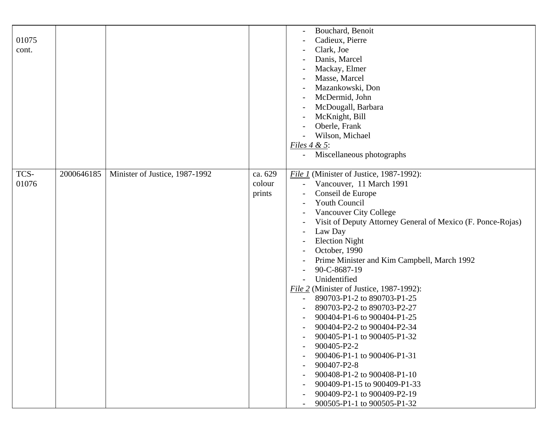| 01075<br>cont. |            |                                |                             | Bouchard, Benoit<br>Cadieux, Pierre<br>Clark, Joe<br>Danis, Marcel<br>Mackay, Elmer<br>Masse, Marcel<br>Mazankowski, Don<br>McDermid, John<br>McDougall, Barbara<br>McKnight, Bill<br>Oberle, Frank                                                                                                                                                                                                                                                                                                                                                                                                                                                                                                                                                                                                                                                                                                                                       |
|----------------|------------|--------------------------------|-----------------------------|-------------------------------------------------------------------------------------------------------------------------------------------------------------------------------------------------------------------------------------------------------------------------------------------------------------------------------------------------------------------------------------------------------------------------------------------------------------------------------------------------------------------------------------------------------------------------------------------------------------------------------------------------------------------------------------------------------------------------------------------------------------------------------------------------------------------------------------------------------------------------------------------------------------------------------------------|
|                |            |                                |                             | Wilson, Michael<br>Files $4 & 5$ :<br>Miscellaneous photographs<br>$\overline{\phantom{a}}$                                                                                                                                                                                                                                                                                                                                                                                                                                                                                                                                                                                                                                                                                                                                                                                                                                               |
| TCS-<br>01076  | 2000646185 | Minister of Justice, 1987-1992 | ca. 629<br>colour<br>prints | File 1 (Minister of Justice, 1987-1992):<br>Vancouver, 11 March 1991<br>Conseil de Europe<br><b>Youth Council</b><br>Vancouver City College<br>Visit of Deputy Attorney General of Mexico (F. Ponce-Rojas)<br>Law Day<br>$\overline{a}$<br><b>Election Night</b><br>October, 1990<br>Prime Minister and Kim Campbell, March 1992<br>90-C-8687-19<br>Unidentified<br>File 2 (Minister of Justice, 1987-1992):<br>890703-P1-2 to 890703-P1-25<br>$\overline{\phantom{a}}$<br>890703-P2-2 to 890703-P2-27<br>900404-P1-6 to 900404-P1-25<br>900404-P2-2 to 900404-P2-34<br>900405-P1-1 to 900405-P1-32<br>900405-P2-2<br>$\overline{\phantom{a}}$<br>900406-P1-1 to 900406-P1-31<br>$\overline{\phantom{a}}$<br>900407-P2-8<br>$\overline{\phantom{a}}$<br>900408-P1-2 to 900408-P1-10<br>$\overline{\phantom{a}}$<br>900409-P1-15 to 900409-P1-33<br>$\overline{\phantom{a}}$<br>900409-P2-1 to 900409-P2-19<br>900505-P1-1 to 900505-P1-32 |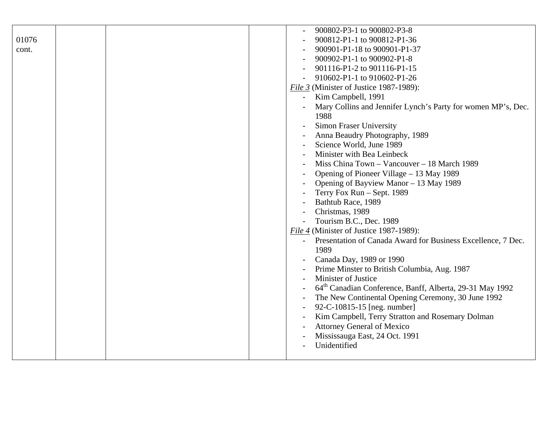|       | 900802-P3-1 to 900802-P3-8                                           |
|-------|----------------------------------------------------------------------|
| 01076 | 900812-P1-1 to 900812-P1-36                                          |
| cont. | 900901-P1-18 to 900901-P1-37                                         |
|       | 900902-P1-1 to 900902-P1-8                                           |
|       | 901116-P1-2 to 901116-P1-15                                          |
|       | 910602-P1-1 to 910602-P1-26                                          |
|       | File 3 (Minister of Justice 1987-1989):                              |
|       | Kim Campbell, 1991<br>$\overline{\phantom{a}}$                       |
|       |                                                                      |
|       | Mary Collins and Jennifer Lynch's Party for women MP's, Dec.         |
|       | 1988                                                                 |
|       | <b>Simon Fraser University</b>                                       |
|       | Anna Beaudry Photography, 1989                                       |
|       | Science World, June 1989                                             |
|       | Minister with Bea Leinbeck                                           |
|       | Miss China Town - Vancouver - 18 March 1989                          |
|       | Opening of Pioneer Village – 13 May 1989                             |
|       | Opening of Bayview Manor - 13 May 1989                               |
|       | Terry Fox Run - Sept. 1989                                           |
|       | Bathtub Race, 1989                                                   |
|       | Christmas, 1989                                                      |
|       | Tourism B.C., Dec. 1989                                              |
|       | File 4 (Minister of Justice 1987-1989):                              |
|       | Presentation of Canada Award for Business Excellence, 7 Dec.         |
|       | 1989                                                                 |
|       | Canada Day, 1989 or 1990                                             |
|       | Prime Minster to British Columbia, Aug. 1987                         |
|       | Minister of Justice                                                  |
|       | 64 <sup>th</sup> Canadian Conference, Banff, Alberta, 29-31 May 1992 |
|       | The New Continental Opening Ceremony, 30 June 1992                   |
|       | 92-C-10815-15 [neg. number]                                          |
|       | Kim Campbell, Terry Stratton and Rosemary Dolman                     |
|       | <b>Attorney General of Mexico</b>                                    |
|       | Mississauga East, 24 Oct. 1991                                       |
|       | Unidentified                                                         |
|       |                                                                      |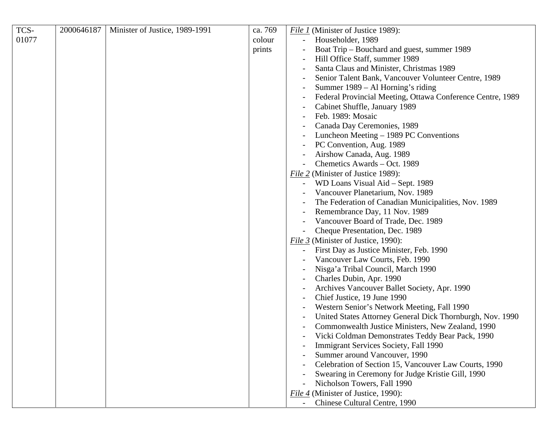| TCS-  | 2000646187 | Minister of Justice, 1989-1991 | ca. 769 | File 1 (Minister of Justice 1989):                         |
|-------|------------|--------------------------------|---------|------------------------------------------------------------|
| 01077 |            |                                | colour  | Householder, 1989                                          |
|       |            |                                | prints  | Boat Trip - Bouchard and guest, summer 1989                |
|       |            |                                |         | Hill Office Staff, summer 1989                             |
|       |            |                                |         | Santa Claus and Minister, Christmas 1989                   |
|       |            |                                |         | Senior Talent Bank, Vancouver Volunteer Centre, 1989       |
|       |            |                                |         | Summer 1989 – Al Horning's riding                          |
|       |            |                                |         | Federal Provincial Meeting, Ottawa Conference Centre, 1989 |
|       |            |                                |         | Cabinet Shuffle, January 1989                              |
|       |            |                                |         | Feb. 1989: Mosaic                                          |
|       |            |                                |         | Canada Day Ceremonies, 1989                                |
|       |            |                                |         | Luncheon Meeting – 1989 PC Conventions                     |
|       |            |                                |         | PC Convention, Aug. 1989                                   |
|       |            |                                |         | Airshow Canada, Aug. 1989                                  |
|       |            |                                |         | Chemetics Awards - Oct. 1989                               |
|       |            |                                |         | File 2 (Minister of Justice 1989):                         |
|       |            |                                |         | WD Loans Visual Aid - Sept. 1989                           |
|       |            |                                |         | Vancouver Planetarium, Nov. 1989                           |
|       |            |                                |         | The Federation of Canadian Municipalities, Nov. 1989       |
|       |            |                                |         | Remembrance Day, 11 Nov. 1989                              |
|       |            |                                |         | Vancouver Board of Trade, Dec. 1989                        |
|       |            |                                |         | Cheque Presentation, Dec. 1989                             |
|       |            |                                |         | <i>File 3</i> (Minister of Justice, 1990):                 |
|       |            |                                |         | First Day as Justice Minister, Feb. 1990                   |
|       |            |                                |         | Vancouver Law Courts, Feb. 1990                            |
|       |            |                                |         | Nisga'a Tribal Council, March 1990                         |
|       |            |                                |         | Charles Dubin, Apr. 1990                                   |
|       |            |                                |         | Archives Vancouver Ballet Society, Apr. 1990               |
|       |            |                                |         | Chief Justice, 19 June 1990                                |
|       |            |                                |         | Western Senior's Network Meeting, Fall 1990                |
|       |            |                                |         | United States Attorney General Dick Thornburgh, Nov. 1990  |
|       |            |                                |         | Commonwealth Justice Ministers, New Zealand, 1990          |
|       |            |                                |         | Vicki Coldman Demonstrates Teddy Bear Pack, 1990           |
|       |            |                                |         | Immigrant Services Society, Fall 1990                      |
|       |            |                                |         | Summer around Vancouver, 1990                              |
|       |            |                                |         | Celebration of Section 15, Vancouver Law Courts, 1990      |
|       |            |                                |         | Swearing in Ceremony for Judge Kristie Gill, 1990          |
|       |            |                                |         | Nicholson Towers, Fall 1990                                |
|       |            |                                |         | File 4 (Minister of Justice, 1990):                        |
|       |            |                                |         | Chinese Cultural Centre, 1990                              |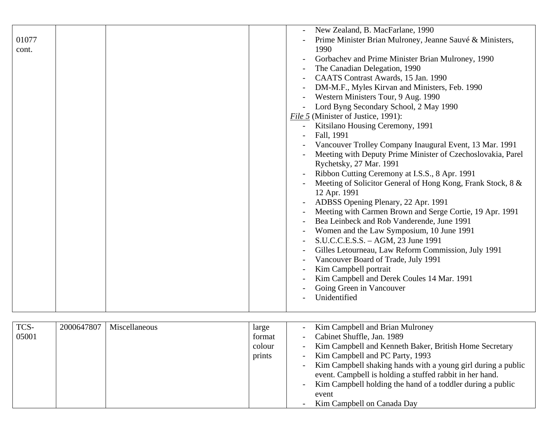|       |  | New Zealand, B. MacFarlane, 1990                            |
|-------|--|-------------------------------------------------------------|
| 01077 |  | Prime Minister Brian Mulroney, Jeanne Sauvé & Ministers,    |
| cont. |  | 1990                                                        |
|       |  | Gorbachev and Prime Minister Brian Mulroney, 1990           |
|       |  | The Canadian Delegation, 1990                               |
|       |  | CAATS Contrast Awards, 15 Jan. 1990                         |
|       |  | DM-M.F., Myles Kirvan and Ministers, Feb. 1990              |
|       |  | Western Ministers Tour, 9 Aug. 1990                         |
|       |  | Lord Byng Secondary School, 2 May 1990                      |
|       |  | <i>File</i> 5 (Minister of Justice, 1991):                  |
|       |  | Kitsilano Housing Ceremony, 1991                            |
|       |  | Fall, 1991                                                  |
|       |  | Vancouver Trolley Company Inaugural Event, 13 Mar. 1991     |
|       |  | Meeting with Deputy Prime Minister of Czechoslovakia, Parel |
|       |  | Rychetsky, 27 Mar. 1991                                     |
|       |  | Ribbon Cutting Ceremony at I.S.S., 8 Apr. 1991              |
|       |  | Meeting of Solicitor General of Hong Kong, Frank Stock, 8 & |
|       |  | 12 Apr. 1991                                                |
|       |  | ADBSS Opening Plenary, 22 Apr. 1991                         |
|       |  | Meeting with Carmen Brown and Serge Cortie, 19 Apr. 1991    |
|       |  | Bea Leinbeck and Rob Vanderende, June 1991                  |
|       |  | Women and the Law Symposium, 10 June 1991                   |
|       |  | S.U.C.C.E.S.S. - AGM, 23 June 1991                          |
|       |  | Gilles Letourneau, Law Reform Commission, July 1991         |
|       |  | Vancouver Board of Trade, July 1991                         |
|       |  | Kim Campbell portrait                                       |
|       |  | Kim Campbell and Derek Coules 14 Mar. 1991                  |
|       |  | Going Green in Vancouver                                    |
|       |  | Unidentified                                                |
|       |  |                                                             |

| TCS-  | 2000647807 | Miscellaneous | large  | Kim Campbell and Brian Mulroney<br>$\overline{\phantom{a}}$                              |
|-------|------------|---------------|--------|------------------------------------------------------------------------------------------|
| 05001 |            |               | format | Cabinet Shuffle, Jan. 1989<br>$\overline{\phantom{a}}$                                   |
|       |            |               | colour | Kim Campbell and Kenneth Baker, British Home Secretary<br>$\overline{\phantom{a}}$       |
|       |            |               | prints | Kim Campbell and PC Party, 1993<br>$\overline{\phantom{a}}$                              |
|       |            |               |        | Kim Campbell shaking hands with a young girl during a public<br>$\overline{\phantom{a}}$ |
|       |            |               |        | event. Campbell is holding a stuffed rabbit in her hand.                                 |
|       |            |               |        | Kim Campbell holding the hand of a toddler during a public<br>$\overline{\phantom{a}}$   |
|       |            |               |        | event                                                                                    |
|       |            |               |        | Kim Campbell on Canada Day<br>$\overline{\phantom{a}}$                                   |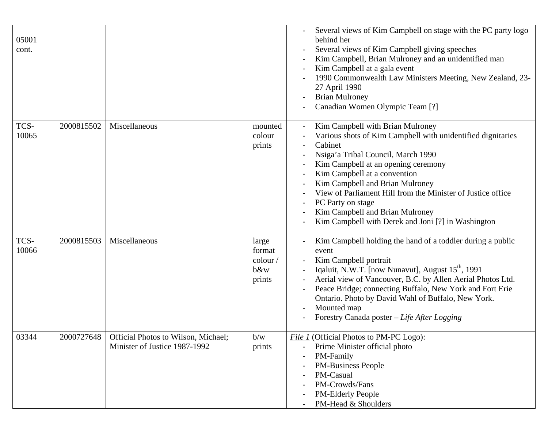| 05001<br>cont. |            |                                                                      |                                                          | Several views of Kim Campbell on stage with the PC party logo<br>behind her<br>Several views of Kim Campbell giving speeches<br>Kim Campbell, Brian Mulroney and an unidentified man<br>Kim Campbell at a gala event<br>1990 Commonwealth Law Ministers Meeting, New Zealand, 23-<br>27 April 1990<br><b>Brian Mulroney</b><br>Canadian Women Olympic Team [?]                                                                          |
|----------------|------------|----------------------------------------------------------------------|----------------------------------------------------------|-----------------------------------------------------------------------------------------------------------------------------------------------------------------------------------------------------------------------------------------------------------------------------------------------------------------------------------------------------------------------------------------------------------------------------------------|
| TCS-<br>10065  | 2000815502 | Miscellaneous                                                        | mounted<br>colour<br>prints                              | Kim Campbell with Brian Mulroney<br>Various shots of Kim Campbell with unidentified dignitaries<br>Cabinet<br>Nsiga'a Tribal Council, March 1990<br>Kim Campbell at an opening ceremony<br>Kim Campbell at a convention<br>Kim Campbell and Brian Mulroney<br>View of Parliament Hill from the Minister of Justice office<br>PC Party on stage<br>Kim Campbell and Brian Mulroney<br>Kim Campbell with Derek and Joni [?] in Washington |
| TCS-<br>10066  | 2000815503 | Miscellaneous                                                        | large<br>format<br>$\text{colour} /$<br>$b$ &w<br>prints | Kim Campbell holding the hand of a toddler during a public<br>event<br>Kim Campbell portrait<br>Iqaluit, N.W.T. [now Nunavut], August 15 <sup>th</sup> , 1991<br>Aerial view of Vancouver, B.C. by Allen Aerial Photos Ltd.<br>Peace Bridge; connecting Buffalo, New York and Fort Erie<br>Ontario. Photo by David Wahl of Buffalo, New York.<br>Mounted map<br>Forestry Canada poster – Life After Logging                             |
| 03344          | 2000727648 | Official Photos to Wilson, Michael;<br>Minister of Justice 1987-1992 | b/w<br>prints                                            | File 1 (Official Photos to PM-PC Logo):<br>Prime Minister official photo<br>$\overline{\phantom{0}}$<br>PM-Family<br><b>PM-Business People</b><br>$\overline{a}$<br>PM-Casual<br>PM-Crowds/Fans<br>PM-Elderly People<br>$\overline{\phantom{a}}$<br>PM-Head & Shoulders                                                                                                                                                                 |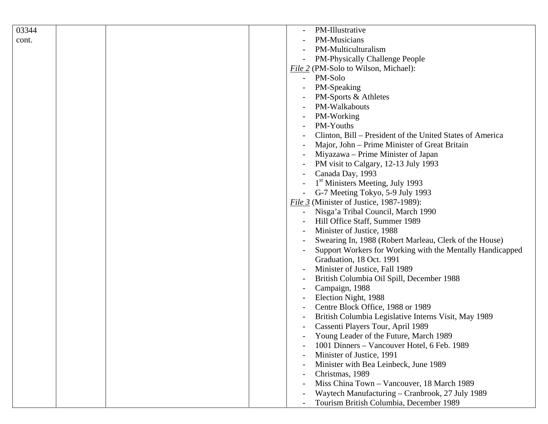| 03344 |  | PM-Illustrative                                                   |
|-------|--|-------------------------------------------------------------------|
| cont. |  | PM-Musicians                                                      |
|       |  | PM-Multiculturalism                                               |
|       |  | PM-Physically Challenge People                                    |
|       |  | File 2 (PM-Solo to Wilson, Michael):                              |
|       |  | PM-Solo                                                           |
|       |  | PM-Speaking                                                       |
|       |  | PM-Sports & Athletes                                              |
|       |  | PM-Walkabouts                                                     |
|       |  | PM-Working                                                        |
|       |  | PM-Youths                                                         |
|       |  | Clinton, Bill – President of the United States of America         |
|       |  | Major, John – Prime Minister of Great Britain                     |
|       |  | Miyazawa – Prime Minister of Japan                                |
|       |  | PM visit to Calgary, 12-13 July 1993                              |
|       |  | Canada Day, 1993                                                  |
|       |  | 1 <sup>st</sup> Ministers Meeting, July 1993                      |
|       |  | G-7 Meeting Tokyo, 5-9 July 1993                                  |
|       |  | File $3$ (Minister of Justice, 1987-1989):                        |
|       |  | Nisga'a Tribal Council, March 1990                                |
|       |  | Hill Office Staff, Summer 1989                                    |
|       |  | Minister of Justice, 1988                                         |
|       |  | Swearing In, 1988 (Robert Marleau, Clerk of the House)            |
|       |  | Support Workers for Working with the Mentally Handicapped         |
|       |  | Graduation, 18 Oct. 1991                                          |
|       |  | Minister of Justice, Fall 1989                                    |
|       |  | British Columbia Oil Spill, December 1988                         |
|       |  | Campaign, 1988                                                    |
|       |  | Election Night, 1988                                              |
|       |  | Centre Block Office, 1988 or 1989                                 |
|       |  | British Columbia Legislative Interns Visit, May 1989              |
|       |  | Cassenti Players Tour, April 1989                                 |
|       |  | Young Leader of the Future, March 1989                            |
|       |  | 1001 Dinners - Vancouver Hotel, 6 Feb. 1989                       |
|       |  | Minister of Justice, 1991<br>$\overline{\phantom{a}}$             |
|       |  | Minister with Bea Leinbeck, June 1989<br>$\overline{\phantom{a}}$ |
|       |  | Christmas, 1989                                                   |
|       |  | Miss China Town - Vancouver, 18 March 1989                        |
|       |  | Waytech Manufacturing – Cranbrook, 27 July 1989                   |
|       |  | Tourism British Columbia, December 1989                           |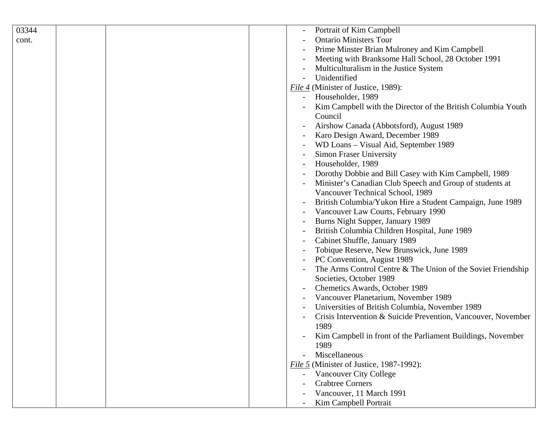| 03344 | Portrait of Kim Campbell                                      |
|-------|---------------------------------------------------------------|
| cont. | <b>Ontario Ministers Tour</b>                                 |
|       | Prime Minster Brian Mulroney and Kim Campbell                 |
|       | Meeting with Branksome Hall School, 28 October 1991           |
|       | Multiculturalism in the Justice System                        |
|       | Unidentified                                                  |
|       | File 4 (Minister of Justice, 1989):                           |
|       | Householder, 1989                                             |
|       | Kim Campbell with the Director of the British Columbia Youth  |
|       | Council                                                       |
|       | Airshow Canada (Abbotsford), August 1989                      |
|       | Karo Design Award, December 1989                              |
|       | WD Loans - Visual Aid, September 1989                         |
|       | <b>Simon Fraser University</b>                                |
|       | Householder, 1989                                             |
|       | Dorothy Dobbie and Bill Casey with Kim Campbell, 1989         |
|       | Minister's Canadian Club Speech and Group of students at      |
|       | Vancouver Technical School, 1989                              |
|       | British Columbia/Yukon Hire a Student Campaign, June 1989     |
|       | Vancouver Law Courts, February 1990                           |
|       | Burns Night Supper, January 1989                              |
|       | British Columbia Children Hospital, June 1989                 |
|       | Cabinet Shuffle, January 1989                                 |
|       | Tobique Reserve, New Brunswick, June 1989                     |
|       | PC Convention, August 1989                                    |
|       | The Arms Control Centre & The Union of the Soviet Friendship  |
|       | Societies, October 1989                                       |
|       | Chemetics Awards, October 1989                                |
|       | Vancouver Planetarium, November 1989                          |
|       | Universities of British Columbia, November 1989               |
|       | Crisis Intervention & Suicide Prevention, Vancouver, November |
|       | 1989                                                          |
|       | Kim Campbell in front of the Parliament Buildings, November   |
|       | 1989                                                          |
|       | Miscellaneous                                                 |
|       | File 5 (Minister of Justice, 1987-1992):                      |
|       | Vancouver City College                                        |
|       | <b>Crabtree Corners</b>                                       |
|       | Vancouver, 11 March 1991                                      |
|       | Kim Campbell Portrait                                         |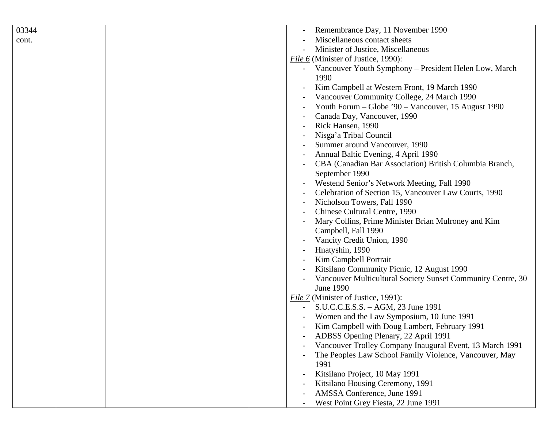| 03344 | Remembrance Day, 11 November 1990                           |
|-------|-------------------------------------------------------------|
| cont. | Miscellaneous contact sheets                                |
|       | Minister of Justice, Miscellaneous                          |
|       | <i>File 6</i> (Minister of Justice, 1990):                  |
|       | Vancouver Youth Symphony - President Helen Low, March       |
|       | 1990                                                        |
|       | Kim Campbell at Western Front, 19 March 1990                |
|       | Vancouver Community College, 24 March 1990                  |
|       | Youth Forum - Globe '90 - Vancouver, 15 August 1990         |
|       | Canada Day, Vancouver, 1990                                 |
|       | Rick Hansen, 1990                                           |
|       | Nisga'a Tribal Council                                      |
|       | Summer around Vancouver, 1990                               |
|       | Annual Baltic Evening, 4 April 1990                         |
|       | CBA (Canadian Bar Association) British Columbia Branch,     |
|       | September 1990                                              |
|       | Westend Senior's Network Meeting, Fall 1990                 |
|       | Celebration of Section 15, Vancouver Law Courts, 1990       |
|       | Nicholson Towers, Fall 1990                                 |
|       | Chinese Cultural Centre, 1990                               |
|       | Mary Collins, Prime Minister Brian Mulroney and Kim         |
|       | Campbell, Fall 1990                                         |
|       | Vancity Credit Union, 1990                                  |
|       | Hnatyshin, 1990                                             |
|       |                                                             |
|       | Kim Campbell Portrait                                       |
|       | Kitsilano Community Picnic, 12 August 1990                  |
|       | Vancouver Multicultural Society Sunset Community Centre, 30 |
|       | June 1990                                                   |
|       | File 7 (Minister of Justice, 1991):                         |
|       | S.U.C.C.E.S.S. - AGM, 23 June 1991                          |
|       | Women and the Law Symposium, 10 June 1991                   |
|       | Kim Campbell with Doug Lambert, February 1991               |
|       | ADBSS Opening Plenary, 22 April 1991                        |
|       | Vancouver Trolley Company Inaugural Event, 13 March 1991    |
|       | The Peoples Law School Family Violence, Vancouver, May      |
|       | 1991                                                        |
|       | Kitsilano Project, 10 May 1991                              |
|       | Kitsilano Housing Ceremony, 1991                            |
|       | AMSSA Conference, June 1991                                 |
|       | West Point Grey Fiesta, 22 June 1991                        |